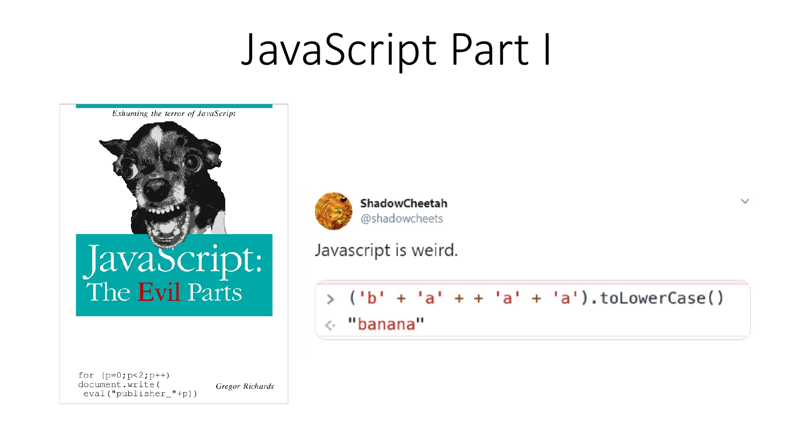# JavaScript Part I



for  $(p=0;p<2;p++)$ document.write(  $eval("publicer_{p})$ )

Gregor Richards



ShadowCheetah @shadowcheets

Javascript is weird.

 $('b' + 'a' + + 'a' + 'a')$ .toLowerCase() « "banana"

 $\checkmark$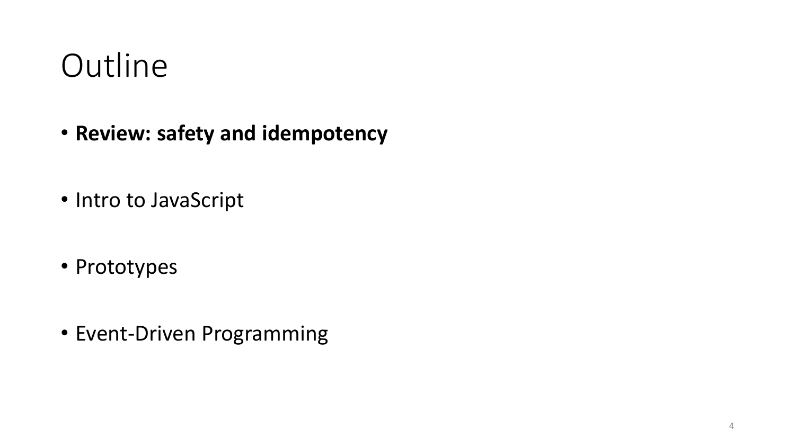#### **Outline**

- **Review: safety and idempotency**
- Intro to JavaScript
- Prototypes
- Event-Driven Programming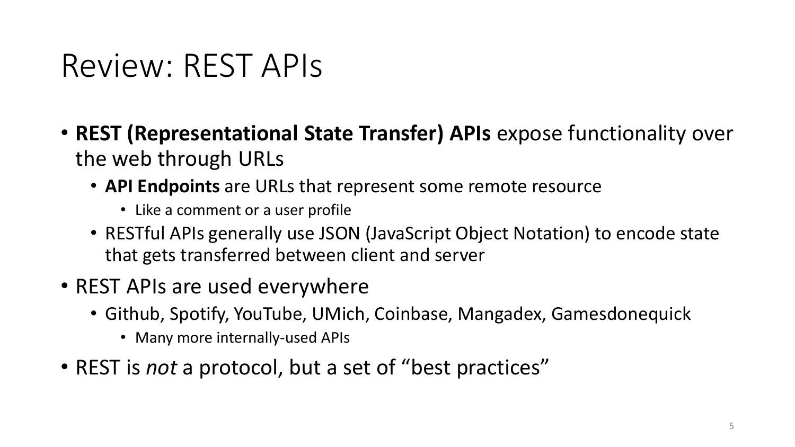#### Review: REST APIs

- **REST (Representational State Transfer) APIs** expose functionality over the web through URLs
	- **API Endpoints** are URLs that represent some remote resource
		- Like a comment or a user profile
	- RESTful APIs generally use JSON (JavaScript Object Notation) to encode state that gets transferred between client and server
- REST APIs are used everywhere
	- Github, Spotify, YouTube, UMich, Coinbase, Mangadex, Gamesdonequick
		- Many more internally-used APIs
- REST is *not* a protocol, but a set of "best practices"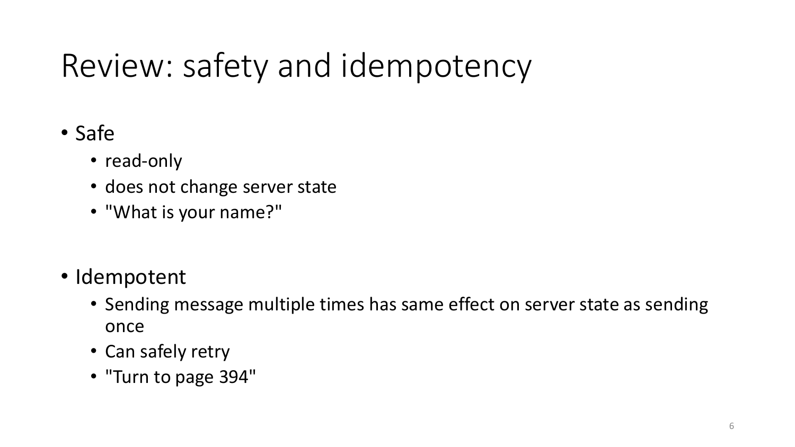# Review: safety and idempotency

- Safe
	- read-only
	- does not change server state
	- "What is your name?"
- Idempotent
	- Sending message multiple times has same effect on server state as sending once
	- Can safely retry
	- "Turn to page 394"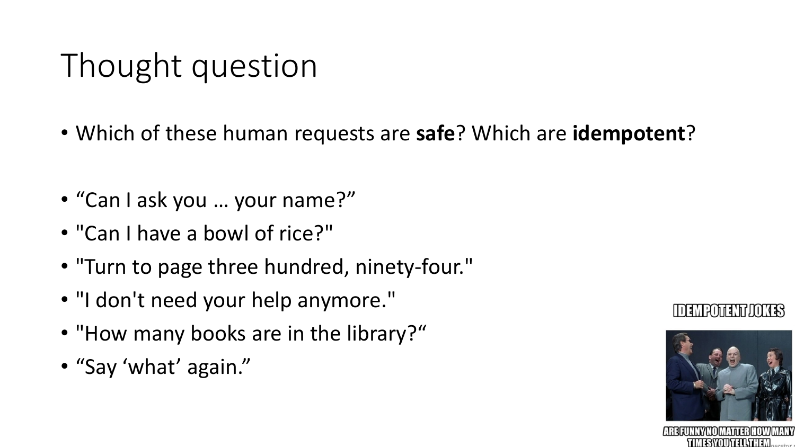# Thought question

- Which of these human requests are **safe**? Which are **idempotent**?
- "Can I ask you … your name?"
- "Can I have a bowl of rice?"
- "Turn to page three hundred, ninety-four."
- "I don't need your help anymore."
- "How many books are in the library?"
- "Say 'what' again."





**TIMESYOUTELL\THEM**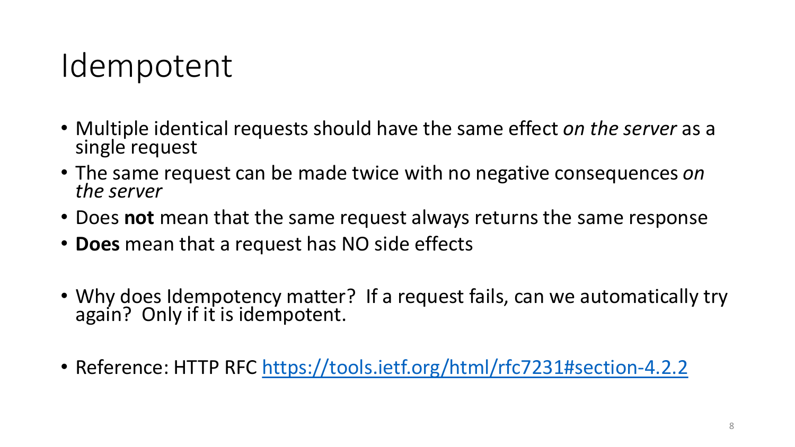#### Idempotent

- Multiple identical requests should have the same effect *on the server* as a single request
- The same request can be made twice with no negative consequences *on the server*
- Does **not** mean that the same request always returns the same response
- **Does** mean that a request has NO side effects
- Why does Idempotency matter? If a request fails, can we automatically try again? Only if it is idempotent.
- Reference: HTTP RFC<https://tools.ietf.org/html/rfc7231#section-4.2.2>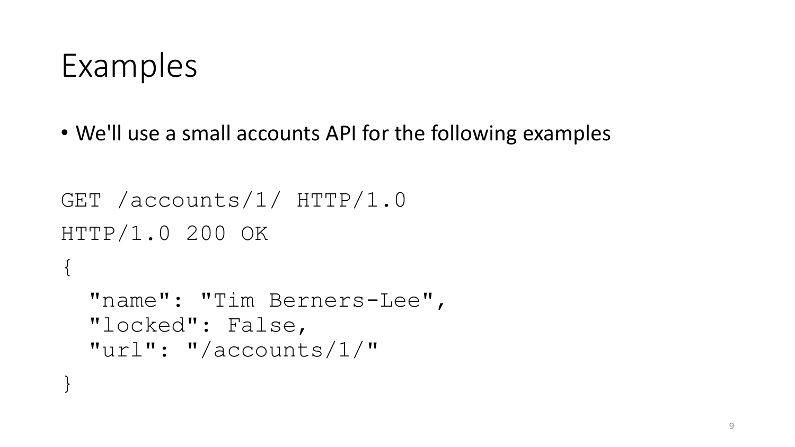#### Examples

}

• We'll use a small accounts API for the following examples

```
GET /accounts/1/ HTTP/1.0
HTTP/1.0 200 OK
\{"name": "Tim Berners-Lee",
  "locked": False,
  "url": "/accounts/1/"
```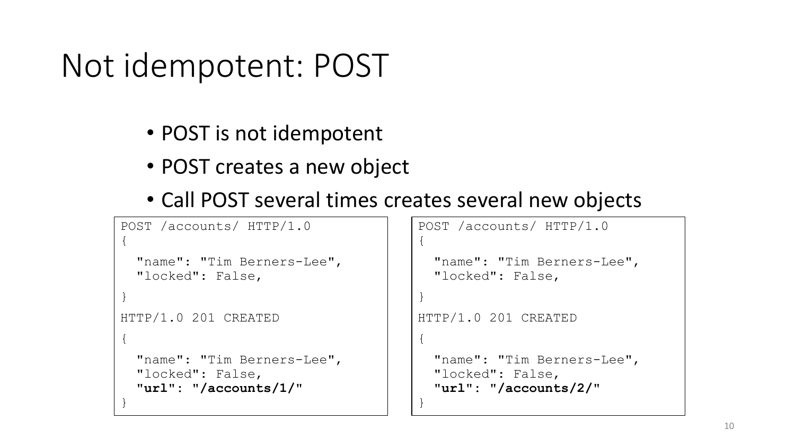#### Not idempotent: POST

- POST is not idempotent
- POST creates a new object
- Call POST several times creates several new objects

```
POST /accounts/ HTTP/1.0
{
  "name": "Tim Berners-Lee",
  "locked": False,
}
HTTP/1.0 201 CREATED
{
  "name": "Tim Berners-Lee",
  "locked": False,
  "url": "/accounts/1/"
}
```

```
POST /accounts/ HTTP/1.0
{
```

```
"name": "Tim Berners-Lee",
"locked": False,
```

```
}
```
{

}

```
HTTP/1.0 201 CREATED
```

```
"name": "Tim Berners-Lee",
"locked": False,
"url": "/accounts/2/"
```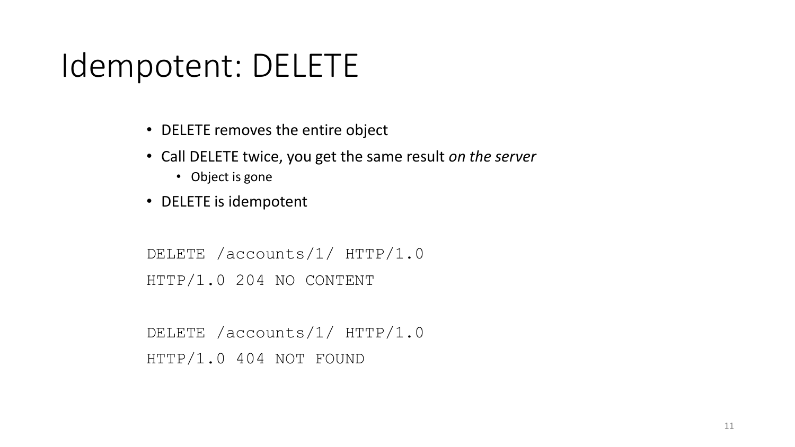#### Idempotent: DELETE

- DELETE removes the entire object
- Call DELETE twice, you get the same result *on the server*
	- Object is gone
- DELETE is idempotent

```
DELETE /accounts/1/ HTTP/1.0
HTTP/1.0 204 NO CONTENT
```
DELETE /accounts/1/ HTTP/1.0 HTTP/1.0 404 NOT FOUND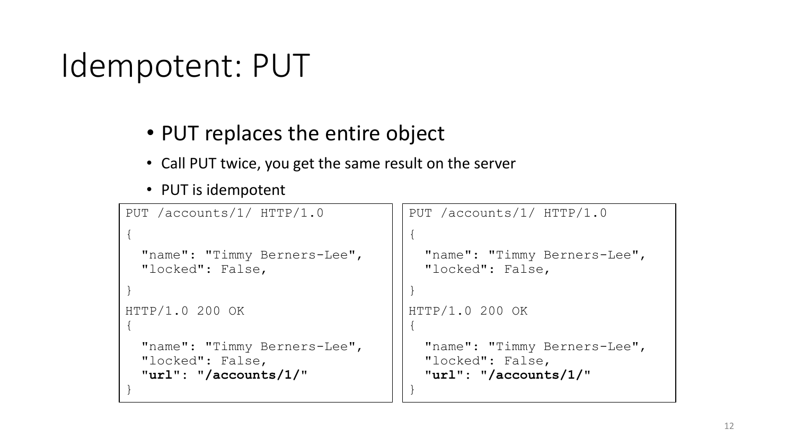### Idempotent: PUT

#### • PUT replaces the entire object

- Call PUT twice, you get the same result on the server
- PUT is idempotent

```
PUT /accounts/1/ HTTP/1.0
{
  "name": "Timmy Berners-Lee",
  "locked": False,
}
HTTP/1.0 200 OK
{
 "name": "Timmy Berners-Lee",
  "locked": False,
  "url": "/accounts/1/"
}
                                     PUT /accounts/1/ HTTP/1.0
                                     {
                                       "name": "Timmy Berners-Lee",
                                       "locked": False,
                                     }
                                     HTTP/1.0 200 OK
                                     {
                                       "name": "Timmy Berners-Lee",
                                       "locked": False,
                                       "url": "/accounts/1/"
                                     }
```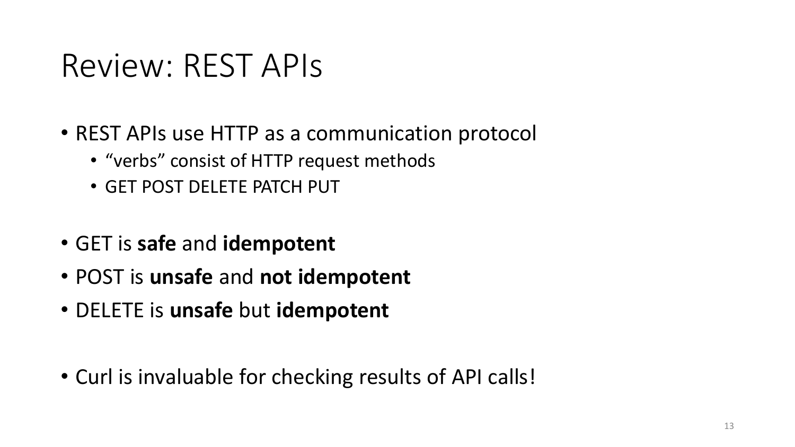#### Review: REST APIs

- REST APIs use HTTP as a communication protocol
	- "verbs" consist of HTTP request methods
	- GET POST DELETE PATCH PUT
- GET is **safe** and **idempotent**
- POST is **unsafe** and **not idempotent**
- DELETE is **unsafe** but **idempotent**
- Curl is invaluable for checking results of API calls!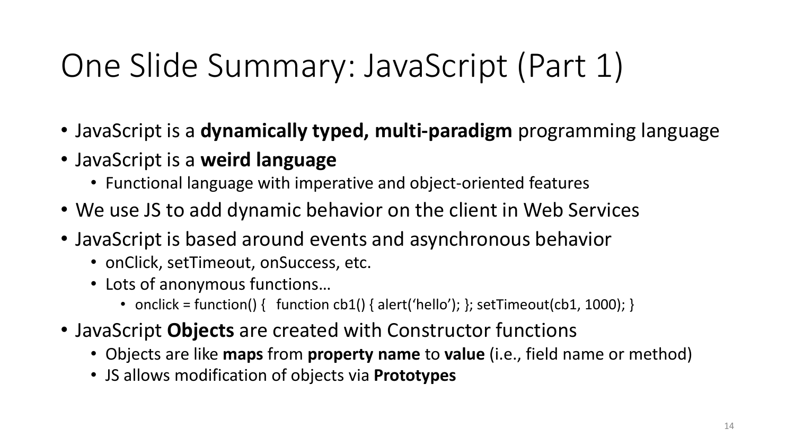# One Slide Summary: JavaScript (Part 1)

- JavaScript is a **dynamically typed, multi-paradigm** programming language
- JavaScript is a **weird language**
	- Functional language with imperative and object-oriented features
- We use JS to add dynamic behavior on the client in Web Services
- JavaScript is based around events and asynchronous behavior
	- onClick, setTimeout, onSuccess, etc.
	- Lots of anonymous functions…
		- onclick = function() { function cb1() { alert('hello'); }; setTimeout(cb1, 1000); }
- JavaScript **Objects** are created with Constructor functions
	- Objects are like **maps** from **property name** to **value** (i.e., field name or method)
	- JS allows modification of objects via **Prototypes**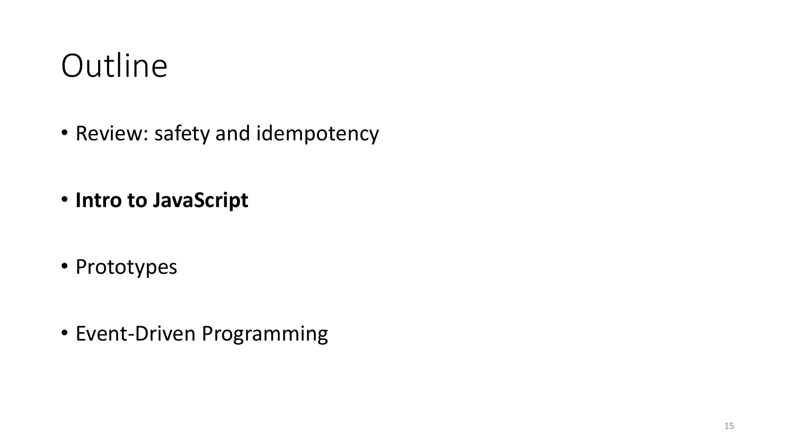#### **Outline**

- Review: safety and idempotency
- **Intro to JavaScript**
- Prototypes
- Event-Driven Programming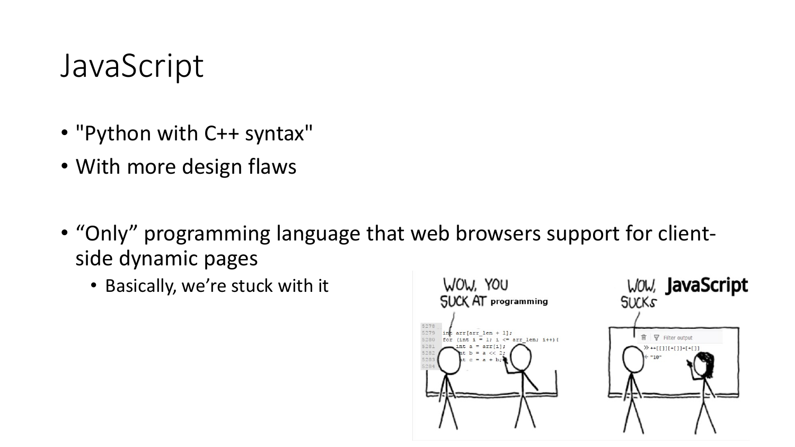#### JavaScript

- "Python with C++ syntax"
- With more design flaws
- "Only" programming language that web browsers support for clientside dynamic pages
	- Basically, we're stuck with it

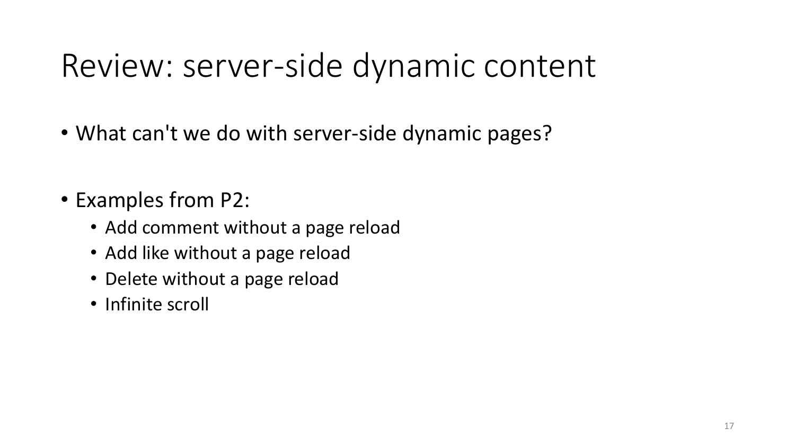#### Review: server-side dynamic content

- What can't we do with server-side dynamic pages?
- Examples from P2:
	- Add comment without a page reload
	- Add like without a page reload
	- Delete without a page reload
	- Infinite scroll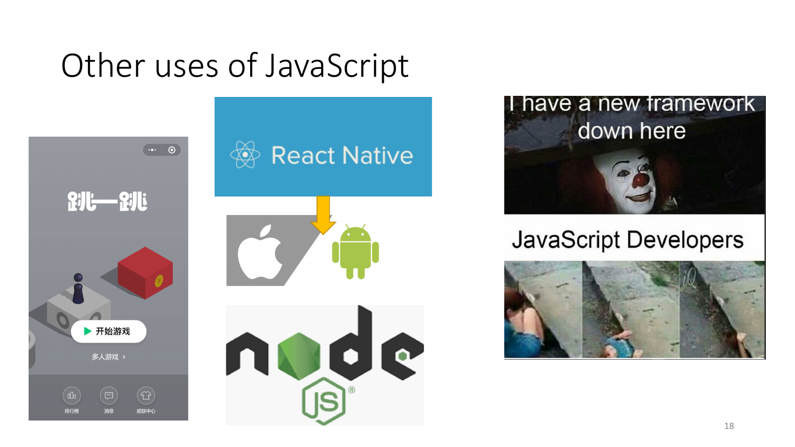#### Other uses of JavaScript





**JavaScript Developers** 

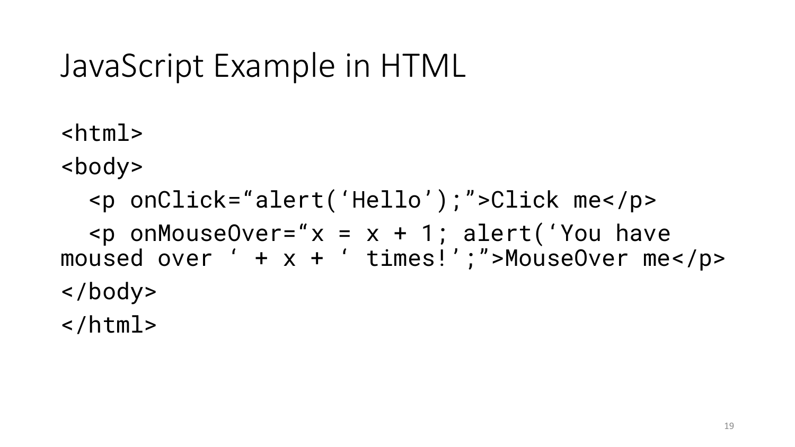#### JavaScript Example in HTML

 $<$ html $>$ 

<body>

<p onClick="alert('Hello');">Click me</p>  $p$  onMouseOver=" $x = x + 1$ ; alert('You have moused over ' + x + ' times!';">MouseOver me</p> </body> </html>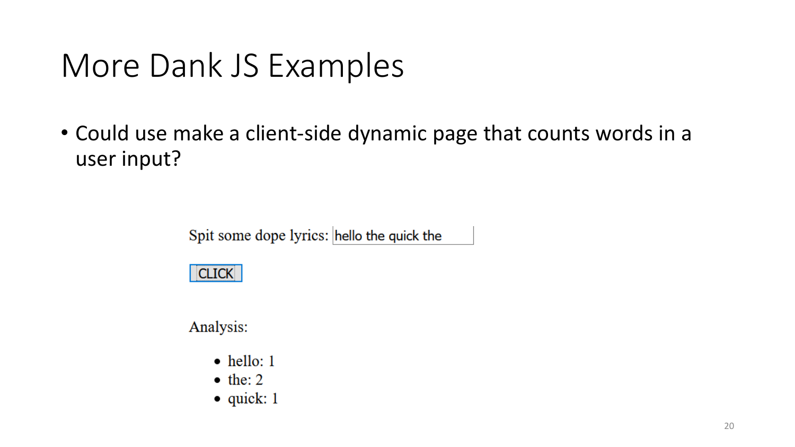#### More Dank JS Examples

• Could use make a client-side dynamic page that counts words in a user input?

Spit some dope lyrics: hello the quick the

#### **CLICK**

Analysis:

- $\bullet$  hello: 1
- $\bullet$  the: 2
- $\bullet$  quick: 1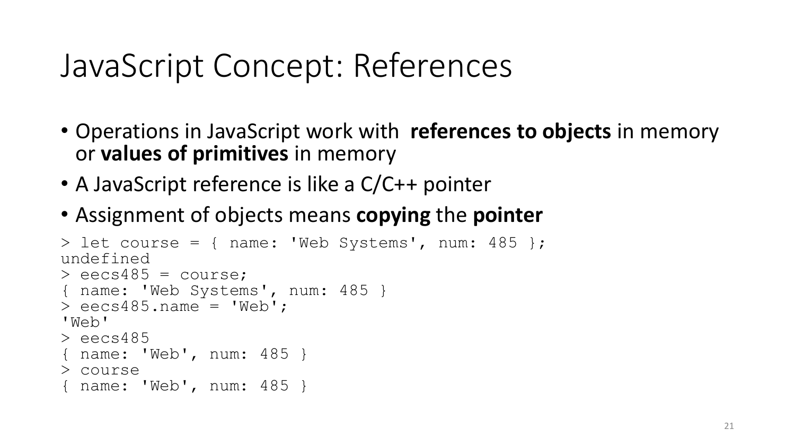#### JavaScript Concept: References

- Operations in JavaScript work with **references to objects** in memory or **values of primitives** in memory
- A JavaScript reference is like a C/C++ pointer
- Assignment of objects means **copying** the **pointer**

```
> let course = { name: 'Web Systems', num: 485 };
undefined
> eecs485 = course;
{ name: 'Web Systems', num: 485 }
> eecs485.name = 'Web';
'Web'
> eecs485
{ name: 'Web', num: 485 }
> course
{ name: 'Web', num: 485 }
```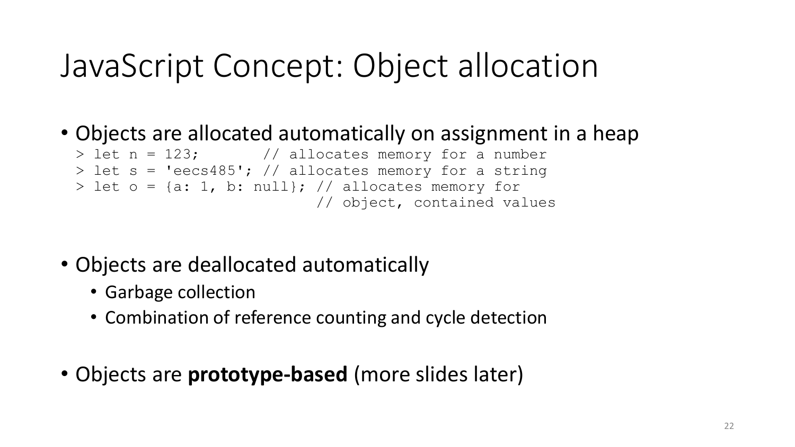#### JavaScript Concept: Object allocation

• Objects are allocated automatically on assignment in a heap

```
> let n = 123; \frac{1}{2} allocates memory for a number
> let s = 'eecs485'; // allocates memory for a string
> let o = \{a: 1, b: null\}; // allocates memory for
                            // object, contained values
```
- Objects are deallocated automatically
	- Garbage collection
	- Combination of reference counting and cycle detection
- Objects are **prototype-based** (more slides later)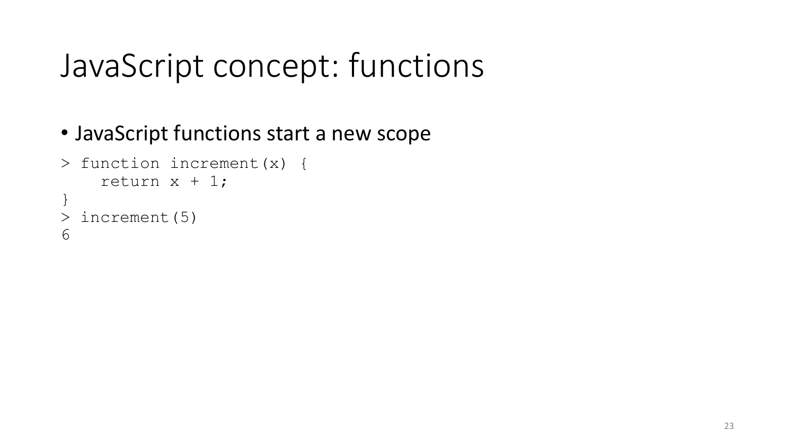#### JavaScript concept: functions

#### • JavaScript functions start a new scope

```
> function increment(x) {
    return x + 1;
}
> increment(5)
6
```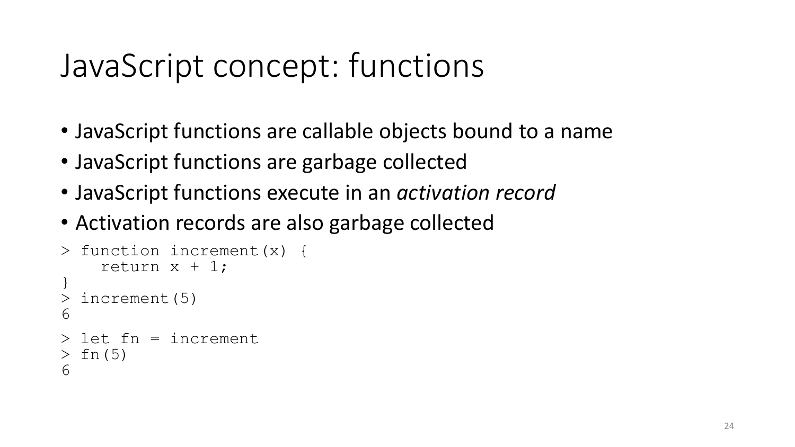#### JavaScript concept: functions

- JavaScript functions are callable objects bound to a name
- JavaScript functions are garbage collected
- JavaScript functions execute in an *activation record*
- Activation records are also garbage collected

```
> function increment(x) {
    return x + 1;
}
 increment(5)
6
> let fn = increment
> fn(5)
6
```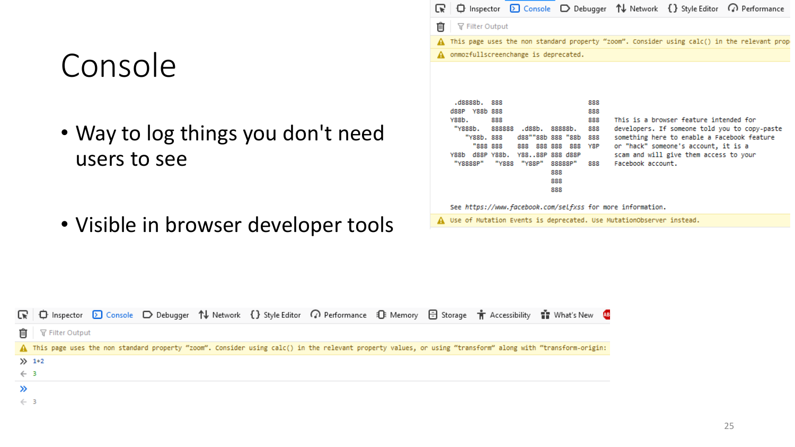#### Console

- Way to log things you don't need users to see
- Visible in browser developer tools

|                                      |       |                                                      |                                                           |                                                                                                |                          |                                               |                   |                                                                                                                                                                                                                          | $\bigoplus$ Inspector $\bigotimes$ Console $\bigoplus$ Debugger $\uparrow\downarrow$ Network $\{ \}$ Style Editor $\bigcirc$ Performance |
|--------------------------------------|-------|------------------------------------------------------|-----------------------------------------------------------|------------------------------------------------------------------------------------------------|--------------------------|-----------------------------------------------|-------------------|--------------------------------------------------------------------------------------------------------------------------------------------------------------------------------------------------------------------------|------------------------------------------------------------------------------------------------------------------------------------------|
| 而                                    |       | <b></b> ™ Filter Output                              |                                                           |                                                                                                |                          |                                               |                   |                                                                                                                                                                                                                          |                                                                                                                                          |
|                                      |       |                                                      |                                                           |                                                                                                |                          |                                               |                   |                                                                                                                                                                                                                          | A This page uses the non standard property "zoom". Consider using calc() in the relevant prop                                            |
| onmozfullscreenchange is deprecated. |       |                                                      |                                                           |                                                                                                |                          |                                               |                   |                                                                                                                                                                                                                          |                                                                                                                                          |
|                                      | Y88h. | .d8888b. 888<br>dssp yssh sss<br>"Y888b.<br>"Y8888P" | 888<br>"YRRh. RRR<br>"888 888<br>Y88b d88P Y88b.<br>"Y888 | 888888 .d88b, 88888b,<br>d88""88b 888 "88b<br>888 888 888<br>Y8888P 888 d88P<br>"Y88P" 88888P" | 888<br>888<br>888<br>888 | 888<br>888<br>888<br>888<br>888<br>Y8P<br>888 | Facebook account. | This is a browser feature intended for<br>developers. If someone told you to copy-paste<br>something here to enable a Facebook feature<br>or "hack" someone's account, it is a<br>scam and will give them access to your |                                                                                                                                          |

See https://www.facebook.com/selfxss for more information.

A Use of Mutation Events is deprecated. Use MutationObserver instead.

|                |                          |  |  | ■ 中 Inspector D Console D Debugger 1↓ Network {} Style Editor の Performance 1 S Memory 日 Storage 市 Accessibility 音 What's New B                              |  |  |  |
|----------------|--------------------------|--|--|--------------------------------------------------------------------------------------------------------------------------------------------------------------|--|--|--|
|                | <b>而</b> マ Filter Output |  |  |                                                                                                                                                              |  |  |  |
|                |                          |  |  | A This page uses the non standard property "zoom". Consider using calc() in the relevant property values, or using "transform" along with "transform-origin: |  |  |  |
|                | $\gg$ 1+2                |  |  |                                                                                                                                                              |  |  |  |
| $\leftarrow$ 3 |                          |  |  |                                                                                                                                                              |  |  |  |
|                |                          |  |  |                                                                                                                                                              |  |  |  |
| $\leftarrow$ 3 |                          |  |  |                                                                                                                                                              |  |  |  |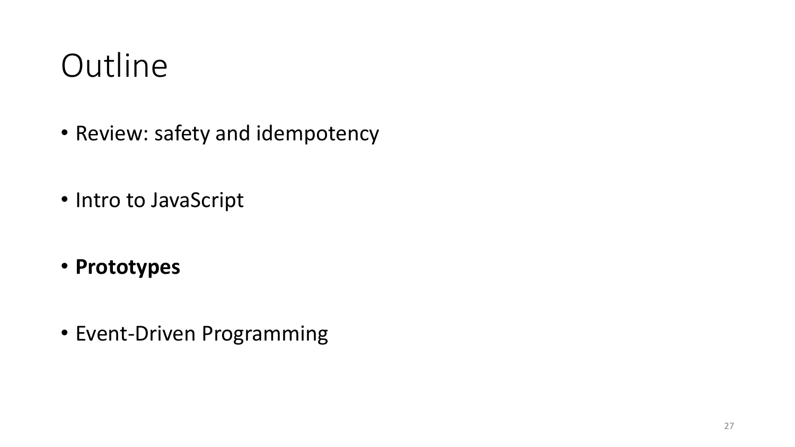#### **Outline**

- Review: safety and idempotency
- Intro to JavaScript
- **Prototypes**
- Event-Driven Programming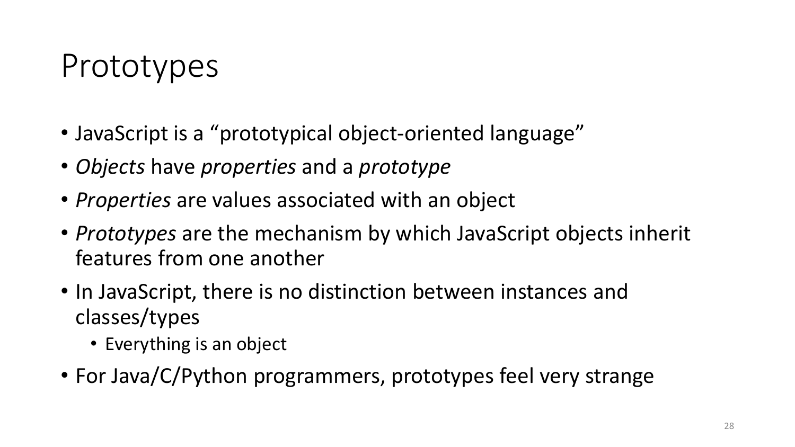#### Prototypes

- JavaScript is a "prototypical object-oriented language"
- *Objects* have *properties* and a *prototype*
- *Properties* are values associated with an object
- *Prototypes* are the mechanism by which JavaScript objects inherit features from one another
- In JavaScript, there is no distinction between instances and classes/types
	- Everything is an object
- For Java/C/Python programmers, prototypes feel very strange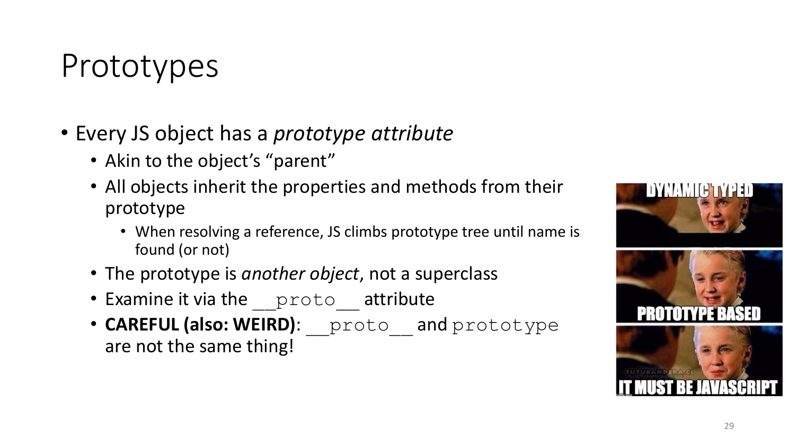#### Prototypes

- Every JS object has a *prototype attribute*
	- Akin to the object's "parent"
	- All objects inherit the properties and methods from their prototype
		- When resolving a reference, JS climbs prototype tree until name is found (or not)
	- The prototype is *another object*, not a superclass
	- Examine it via the proto attribute
	- CAREFUL (also: WEIRD): proto and prototype are not the same thing!

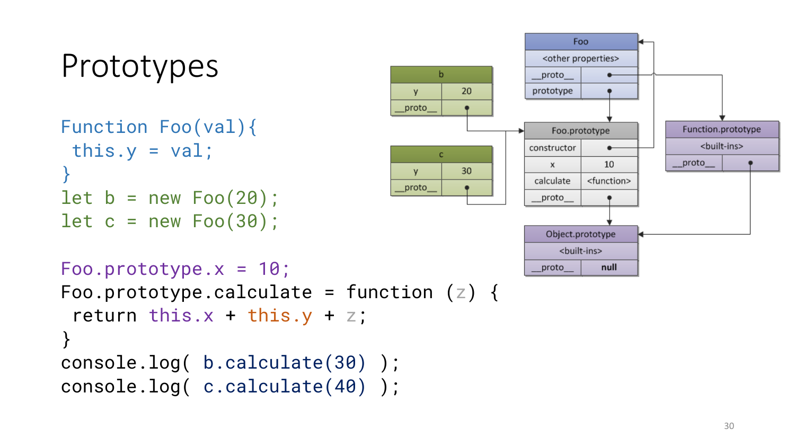```
Prototypes
Function Foo(val){
 this.y = val;
}
let b = new Foo(20);
let c = new Foo(30);
```


```
Foo.prototype.x = 10;
Foo.prototype.calculate = function (z) {
 return this.x + this.y + z;
}
console.log( b.calculate(30) );
console.log( c.calculate(40) );
```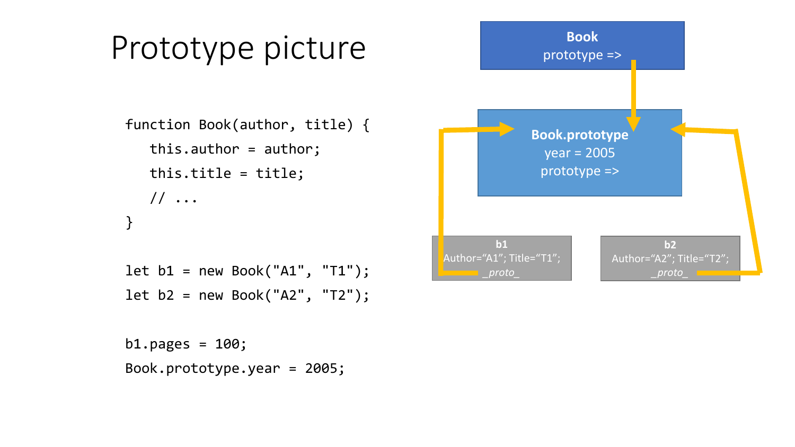

```
b1.pages = 100;Book.prototype.year = 2005;
```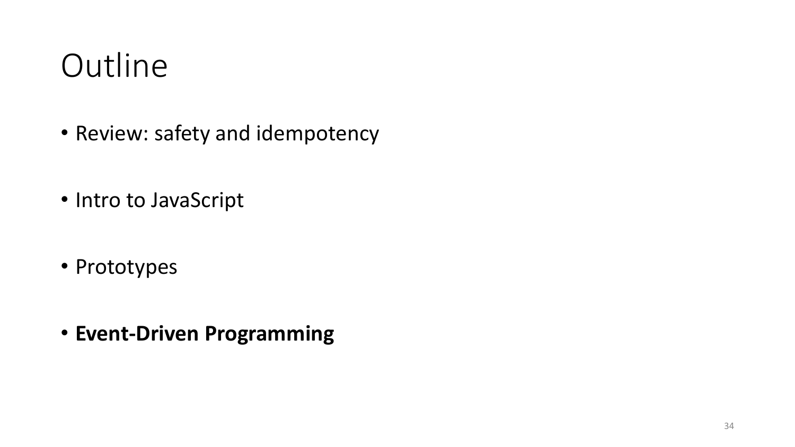#### **Outline**

- Review: safety and idempotency
- Intro to JavaScript
- Prototypes
- **Event-Driven Programming**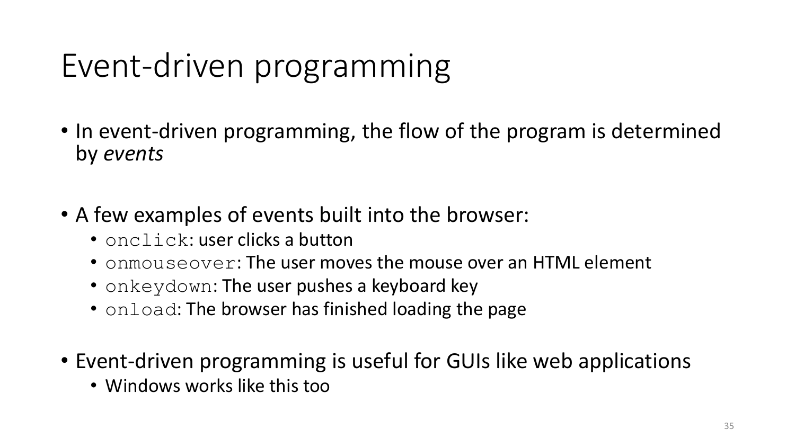#### Event-driven programming

- In event-driven programming, the flow of the program is determined by *events*
- A few examples of events built into the browser:
	- onclick: user clicks a button
	- onmouseover: The user moves the mouse over an HTML element
	- onkeydown: The user pushes a keyboard key
	- onload: The browser has finished loading the page
- Event-driven programming is useful for GUIs like web applications
	- Windows works like this too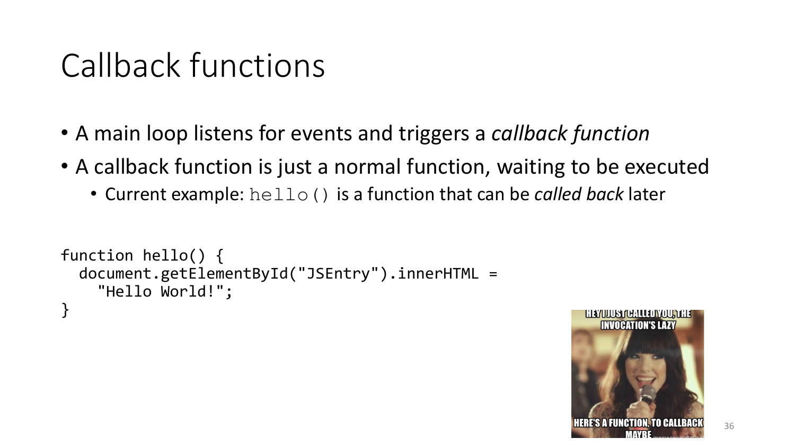#### Callback functions

- A main loop listens for events and triggers a *callback function*
- A callback function is just a normal function, waiting to be executed
	- Current example: hello() is a function that can be *called back* later

```
function hello() {
  document.getElementById("JSEntry").innerHTML =
    "Hello World!";
}
```
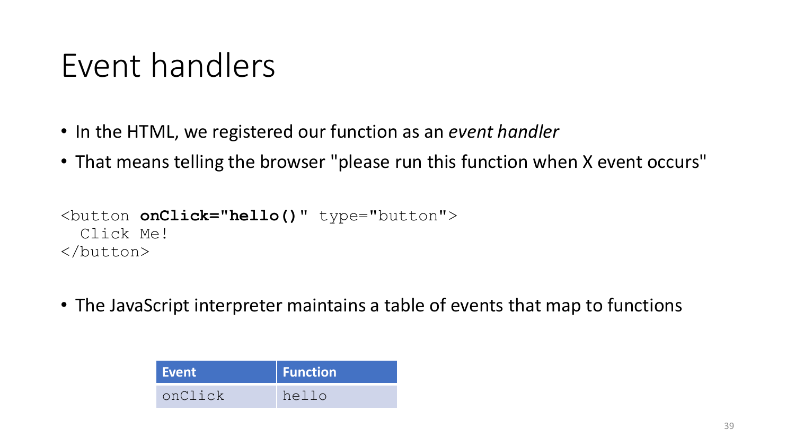#### Event handlers

- In the HTML, we registered our function as an *event handler*
- That means telling the browser "please run this function when X event occurs"

```
<button onClick="hello()" type="button">
 Click Me!
</button>
```
• The JavaScript interpreter maintains a table of events that map to functions

| Event \ | <b>Function</b> |
|---------|-----------------|
| onClick | hello           |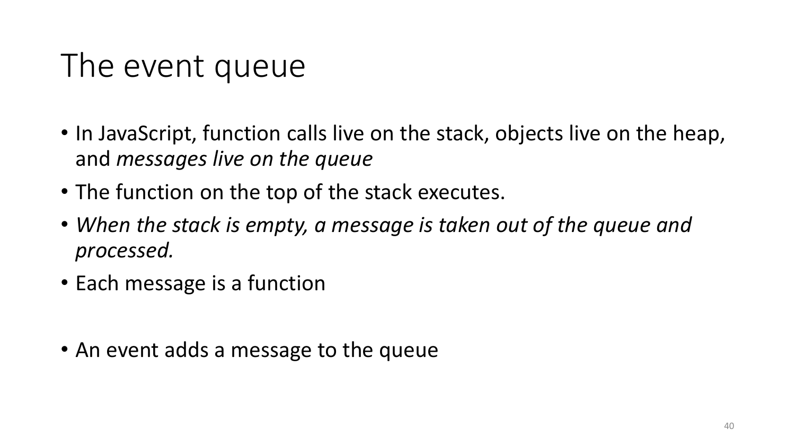#### The event queue

- In JavaScript, function calls live on the stack, objects live on the heap, and *messages live on the queue*
- The function on the top of the stack executes.
- *When the stack is empty, a message is taken out of the queue and processed.*
- Each message is a function
- An event adds a message to the queue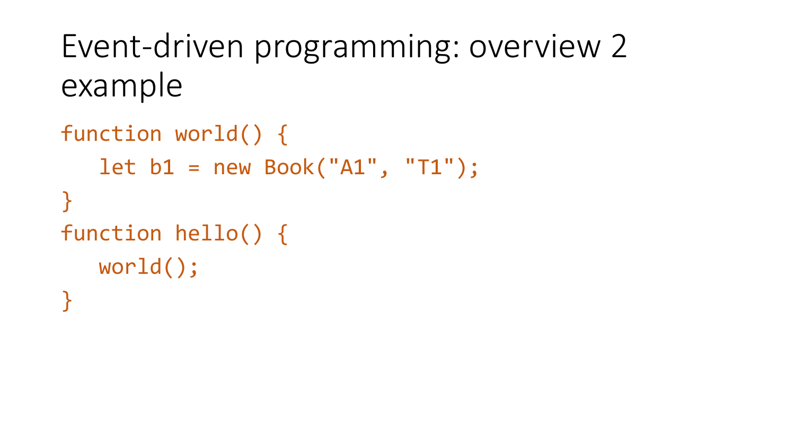#### Event-driven programming: overview 2 example

```
function world() {
   let b1 = new Book("A1", "T1");}
function hello() {
   world();
}
```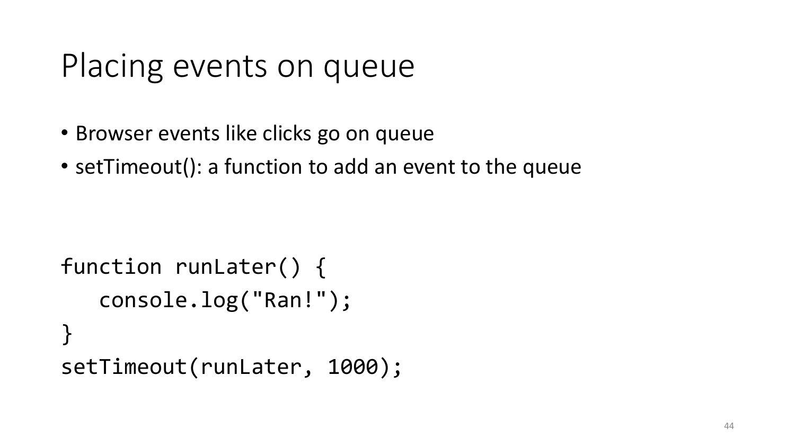#### Placing events on queue

- Browser events like clicks go on queue
- setTimeout(): a function to add an event to the queue

```
function runLater() {
   console.log("Ran!");
}<br>]
setTimeout(runLater, 1000);
```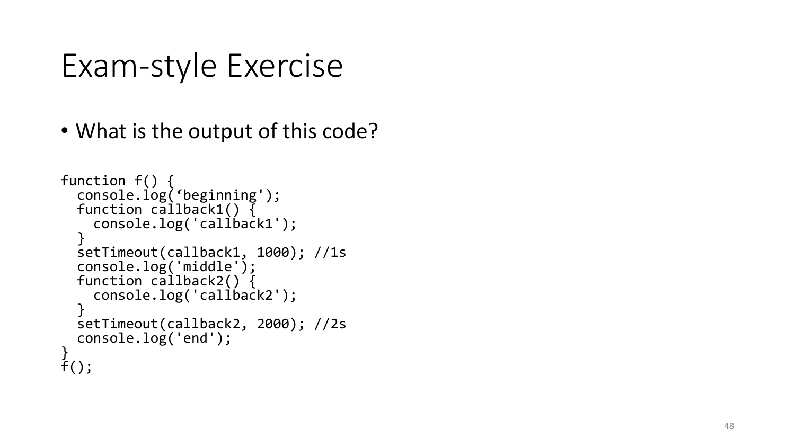#### Exam -style Exercise

• What is the output of this code?

```
function f() {
  console.log('beginning');
  function callback1() {
    console.log('callback1');
  }
  setTimeout(callback1, 1000); //1s
  console.log('middle');
  function callback2() {
    console.log('callback2');
  }
  setTimeout(callback2, 2000); //2s
  console.log('end');
}
\tilde{f}(\cdot);
```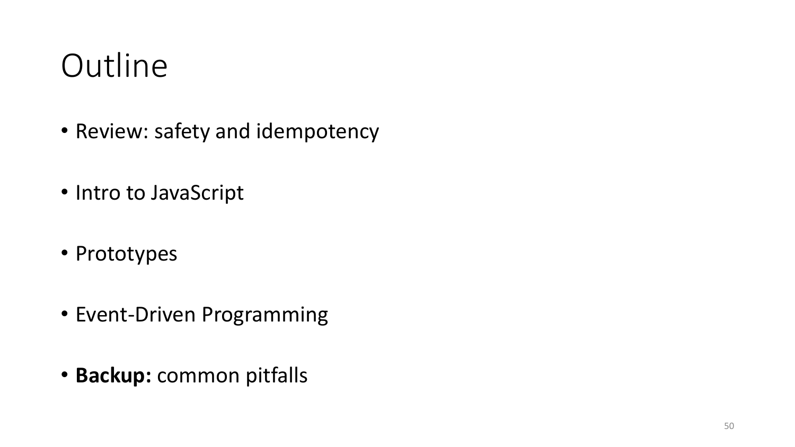#### **Outline**

- Review: safety and idempotency
- Intro to JavaScript
- Prototypes
- Event-Driven Programming
- **Backup:** common pitfalls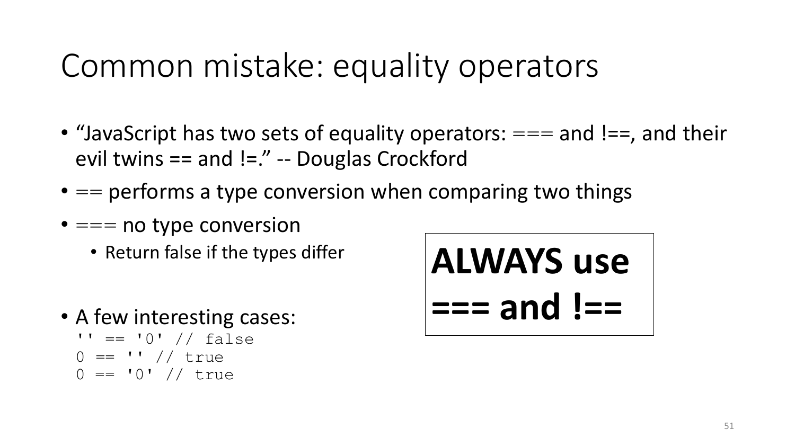#### Common mistake: equality operators

- "JavaScript has two sets of equality operators:  $==$  and !==, and their evil twins == and !=." -- Douglas Crockford
- $\bullet$  == performs a type conversion when comparing two things
- $\bullet ==$  no type conversion
	- Return false if the types differ
- A few interesting cases:  $'$  ==  $'0'$  // false
	- $0 == '' / / true$
	- $0 = "0" // true$

$$
ALWAYS use== and !==
$$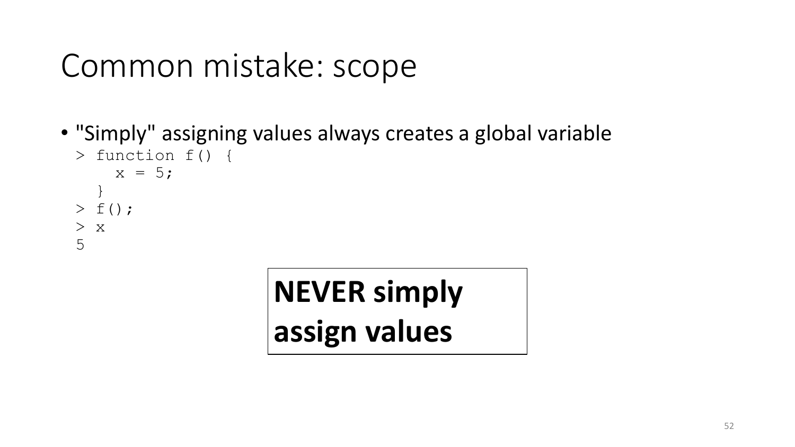#### Common mistake: scope

• "Simply" assigning values always creates a global variable

```
> function f() {
    x = 5;}
> f();
> x5
```
# **NEVER simply assign values**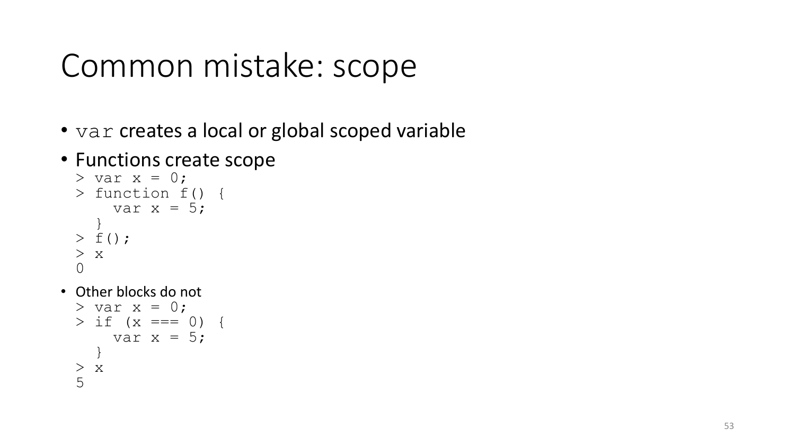#### Common mistake: scope

- var creates a local or global scoped variable
- Functions create scope

```
> var x = 0;
> function f() {
    var x = 5;
  }
> f();
> x\Omega
```
• Other blocks do not

```
> var x = 0;
> if (x == 0)var x = 5;
  }
> x
5
```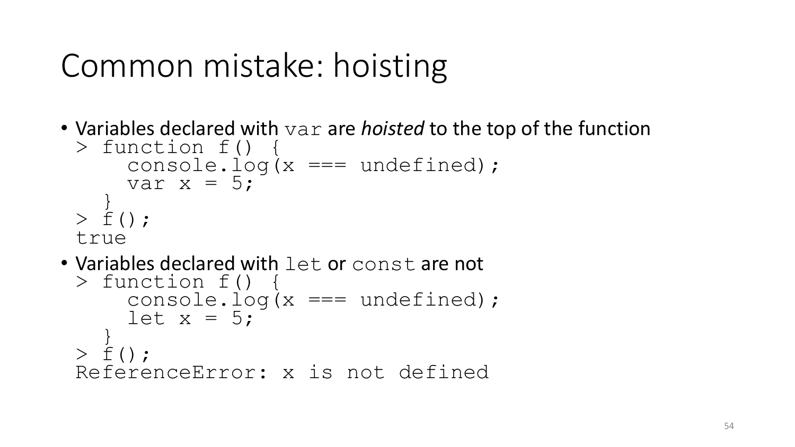#### Common mistake: hoisting

• Variables declared with var are *hoisted* to the top of the function

```
> function f() {
    console.log(x == undefined);
    var x = 5;
  \}> f();
true
```
• Variables declared with let or const are not

```
> function f() {
    console.log(x == undefined);
    let x = 5;
  \}> \leq ();
ReferenceError: x is not defined
```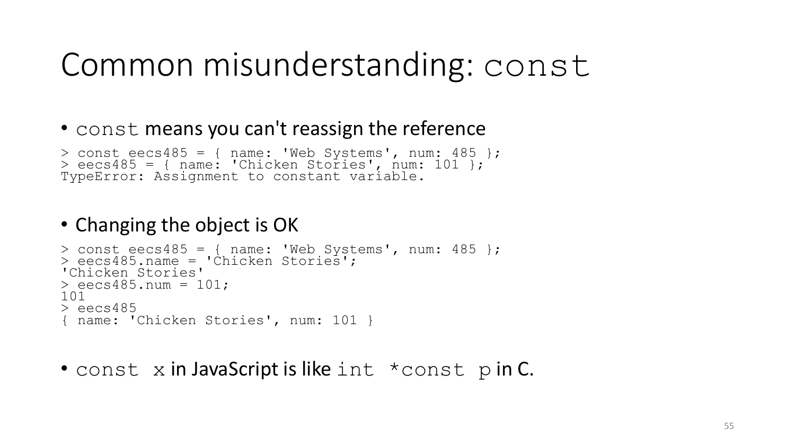#### Common misunderstanding: const

#### • const means you can't reassign the reference

```
> const eecs485 = { name: 'Web Systems', num: 485 };
> eecs485 = { name: 'Chicken Stories', num: 101 };
TypeError: Assignment to constant variable.
```
#### • Changing the object is OK

```
> const eecs485 = { name: 'Web Systems', num: 485 };
> eecs485.name = 'Chicken Stories';
'Chicken Stories'
> eecs485.num = 101;
101
> eecs485
{ name: 'Chicken Stories', num: 101 }
```
• const x in JavaScript is like int \*const p in C.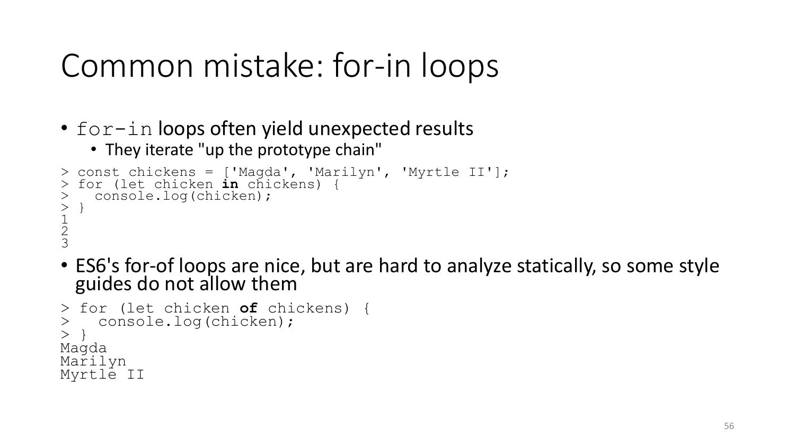#### Common mistake: for-in loops

- for-in loops often yield unexpected results
	- They iterate "up the prototype chain"

```
> const chickens = ['Magda', 'Marilyn', 'Myrtle II'];
 for (let chicken in chickens)
    > console.log(chicken);
> }
\frac{1}{2}\frac{2}{2}3
```
• ES6's for-of loops are nice, but are hard to analyze statically, so some style guides do not allow them

```
> for (let chicken of chickens) {
    > console.log(chicken);
> }
Magda
Marilyn
Myrtle II
```